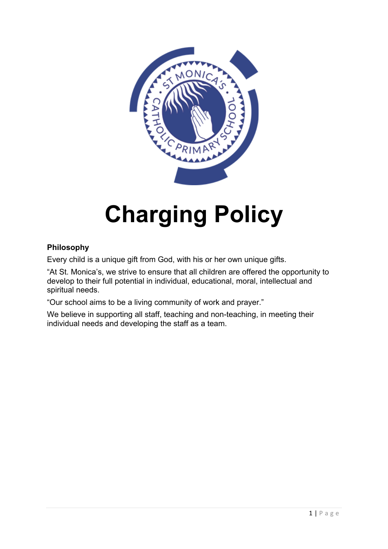

# **Charging Policy**

# **Philosophy**

Every child is a unique gift from God, with his or her own unique gifts.

"At St. Monica's, we strive to ensure that all children are offered the opportunity to develop to their full potential in individual, educational, moral, intellectual and spiritual needs.

"Our school aims to be a living community of work and prayer."

We believe in supporting all staff, teaching and non-teaching, in meeting their individual needs and developing the staff as a team.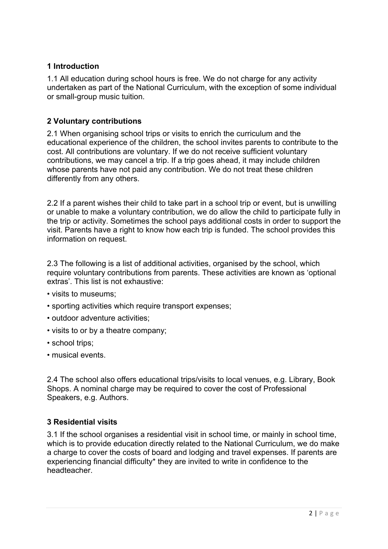## **1 Introduction**

1.1 All education during school hours is free. We do not charge for any activity undertaken as part of the National Curriculum, with the exception of some individual or small-group music tuition.

# **2 Voluntary contributions**

2.1 When organising school trips or visits to enrich the curriculum and the educational experience of the children, the school invites parents to contribute to the cost. All contributions are voluntary. If we do not receive sufficient voluntary contributions, we may cancel a trip. If a trip goes ahead, it may include children whose parents have not paid any contribution. We do not treat these children differently from any others.

2.2 If a parent wishes their child to take part in a school trip or event, but is unwilling or unable to make a voluntary contribution, we do allow the child to participate fully in the trip or activity. Sometimes the school pays additional costs in order to support the visit. Parents have a right to know how each trip is funded. The school provides this information on request.

2.3 The following is a list of additional activities, organised by the school, which require voluntary contributions from parents. These activities are known as 'optional extras'. This list is not exhaustive:

- visits to museums;
- sporting activities which require transport expenses;
- outdoor adventure activities;
- visits to or by a theatre company;
- school trips;
- musical events.

2.4 The school also offers educational trips/visits to local venues, e.g. Library, Book Shops. A nominal charge may be required to cover the cost of Professional Speakers, e.g. Authors.

## **3 Residential visits**

3.1 If the school organises a residential visit in school time, or mainly in school time, which is to provide education directly related to the National Curriculum, we do make a charge to cover the costs of board and lodging and travel expenses. If parents are experiencing financial difficulty\* they are invited to write in confidence to the headteacher.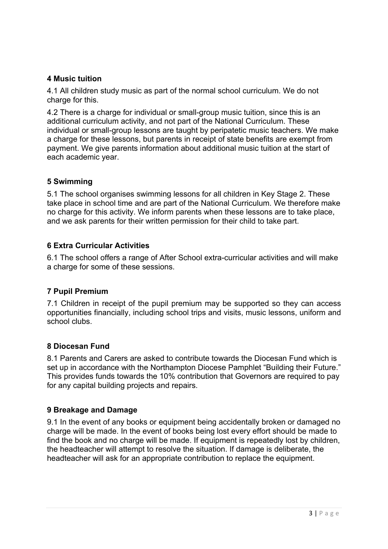#### **4 Music tuition**

4.1 All children study music as part of the normal school curriculum. We do not charge for this.

4.2 There is a charge for individual or small-group music tuition, since this is an additional curriculum activity, and not part of the National Curriculum. These individual or small-group lessons are taught by peripatetic music teachers. We make a charge for these lessons, but parents in receipt of state benefits are exempt from payment. We give parents information about additional music tuition at the start of each academic year.

#### **5 Swimming**

5.1 The school organises swimming lessons for all children in Key Stage 2. These take place in school time and are part of the National Curriculum. We therefore make no charge for this activity. We inform parents when these lessons are to take place, and we ask parents for their written permission for their child to take part.

#### **6 Extra Curricular Activities**

6.1 The school offers a range of After School extra-curricular activities and will make a charge for some of these sessions.

#### **7 Pupil Premium**

7.1 Children in receipt of the pupil premium may be supported so they can access opportunities financially, including school trips and visits, music lessons, uniform and school clubs.

#### **8 Diocesan Fund**

8.1 Parents and Carers are asked to contribute towards the Diocesan Fund which is set up in accordance with the Northampton Diocese Pamphlet "Building their Future." This provides funds towards the 10% contribution that Governors are required to pay for any capital building projects and repairs.

#### **9 Breakage and Damage**

9.1 In the event of any books or equipment being accidentally broken or damaged no charge will be made. In the event of books being lost every effort should be made to find the book and no charge will be made. If equipment is repeatedly lost by children, the headteacher will attempt to resolve the situation. If damage is deliberate, the headteacher will ask for an appropriate contribution to replace the equipment.